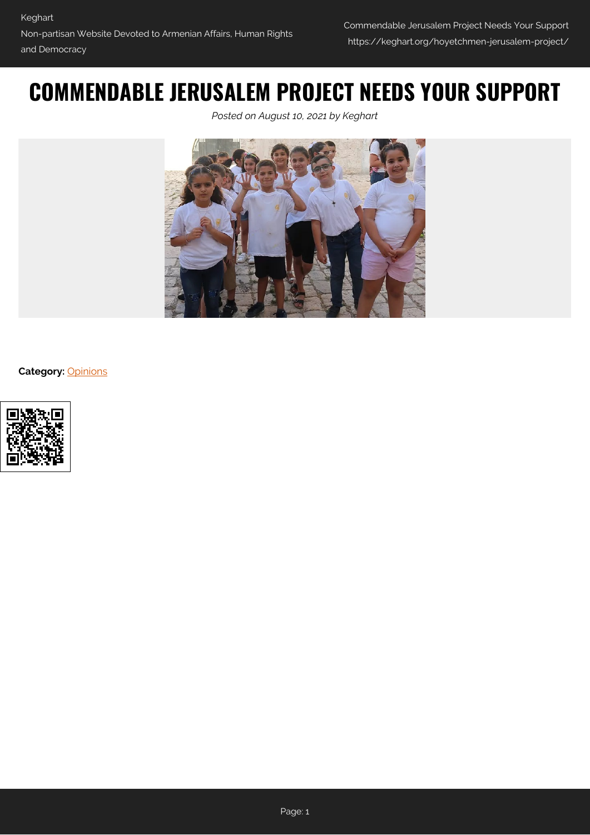# **COMMENDABLE JERUSALEM PROJECT NEEDS YOUR SUPPORT**

*Posted on August 10, 2021 by Keghart*



**Category:** [Opinions](https://keghart.org/category/opinions/)

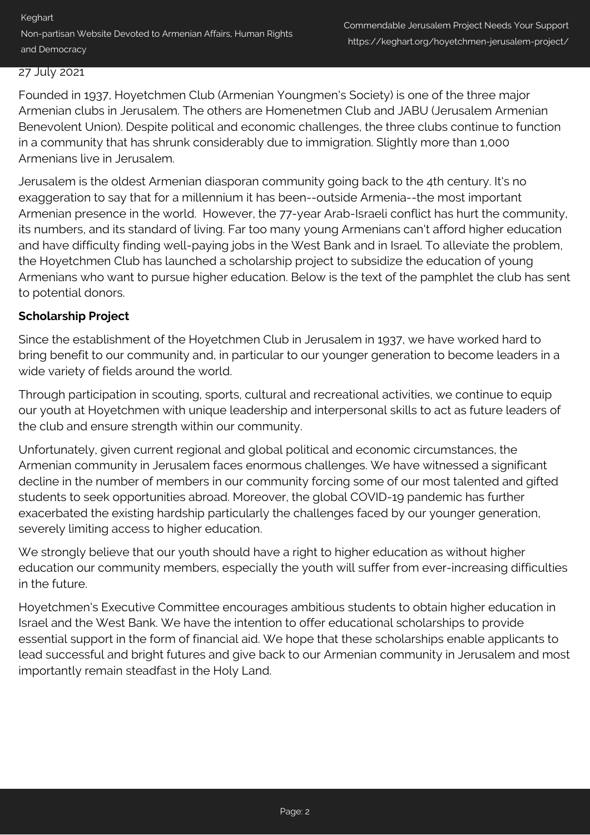#### 27 July 2021

Founded in 1937, Hoyetchmen Club (Armenian Youngmen's Society) is one of the three major Armenian clubs in Jerusalem. The others are Homenetmen Club and JABU (Jerusalem Armenian Benevolent Union). Despite political and economic challenges, the three clubs continue to function in a community that has shrunk considerably due to immigration. Slightly more than 1,000 Armenians live in Jerusalem.

Jerusalem is the oldest Armenian diasporan community going back to the 4th century. It's no exaggeration to say that for a millennium it has been--outside Armenia--the most important Armenian presence in the world. However, the 77-year Arab-Israeli conflict has hurt the community, its numbers, and its standard of living. Far too many young Armenians can't afford higher education and have difficulty finding well-paying jobs in the West Bank and in Israel. To alleviate the problem, the Hoyetchmen Club has launched a scholarship project to subsidize the education of young Armenians who want to pursue higher education. Below is the text of the pamphlet the club has sent to potential donors.

### **Scholarship Project**

Since the establishment of the Hoyetchmen Club in Jerusalem in 1937, we have worked hard to bring benefit to our community and, in particular to our younger generation to become leaders in a wide variety of fields around the world.

Through participation in scouting, sports, cultural and recreational activities, we continue to equip our youth at Hoyetchmen with unique leadership and interpersonal skills to act as future leaders of the club and ensure strength within our community.

Unfortunately, given current regional and global political and economic circumstances, the Armenian community in Jerusalem faces enormous challenges. We have witnessed a significant decline in the number of members in our community forcing some of our most talented and gifted students to seek opportunities abroad. Moreover, the global COVID-19 pandemic has further exacerbated the existing hardship particularly the challenges faced by our younger generation, severely limiting access to higher education.

We strongly believe that our youth should have a right to higher education as without higher education our community members, especially the youth will suffer from ever-increasing difficulties in the future.

Hoyetchmen's Executive Committee encourages ambitious students to obtain higher education in Israel and the West Bank. We have the intention to offer educational scholarships to provide essential support in the form of financial aid. We hope that these scholarships enable applicants to lead successful and bright futures and give back to our Armenian community in Jerusalem and most importantly remain steadfast in the Holy Land.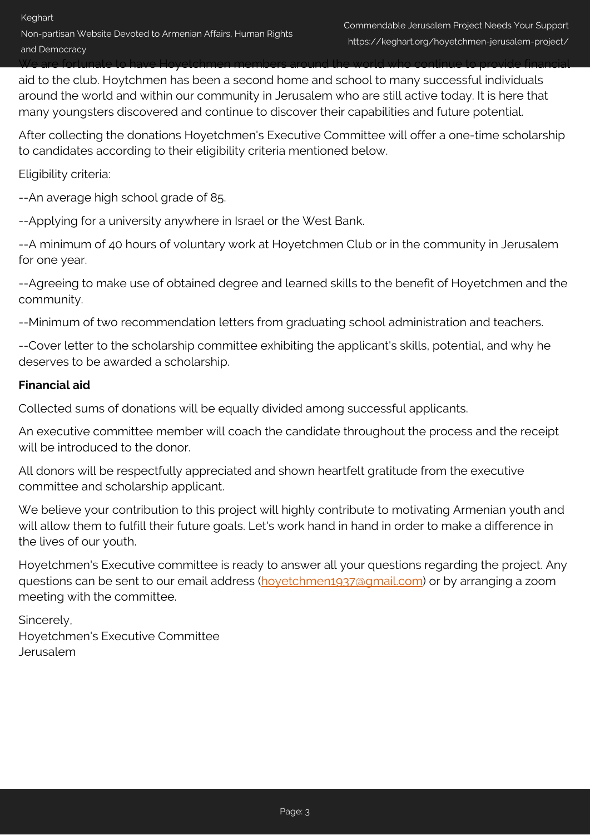We are fortunate to have Hoyetchmen members around the world who continue to provide financial aid to the club. Hoytchmen has been a second home and school to many successful individuals around the world and within our community in Jerusalem who are still active today. It is here that many youngsters discovered and continue to discover their capabilities and future potential.

After collecting the donations Hoyetchmen's Executive Committee will offer a one-time scholarship to candidates according to their eligibility criteria mentioned below.

Eligibility criteria:

--An average high school grade of 85.

--Applying for a university anywhere in Israel or the West Bank.

--A minimum of 40 hours of voluntary work at Hoyetchmen Club or in the community in Jerusalem for one year.

--Agreeing to make use of obtained degree and learned skills to the benefit of Hoyetchmen and the community.

--Minimum of two recommendation letters from graduating school administration and teachers.

--Cover letter to the scholarship committee exhibiting the applicant's skills, potential, and why he deserves to be awarded a scholarship.

#### **Financial aid**

Collected sums of donations will be equally divided among successful applicants.

An executive committee member will coach the candidate throughout the process and the receipt will be introduced to the donor.

All donors will be respectfully appreciated and shown heartfelt gratitude from the executive committee and scholarship applicant.

We believe your contribution to this project will highly contribute to motivating Armenian youth and will allow them to fulfill their future goals. Let's work hand in hand in order to make a difference in the lives of our youth.

Hoyetchmen's Executive committee is ready to answer all your questions regarding the project. Any questions can be sent to our email address ([hoyetchmen1937@gmail.com\)](mailto:hoyetchmen1937@gmail.com) or by arranging a zoom meeting with the committee.

Sincerely, Hoyetchmen's Executive Committee Jerusalem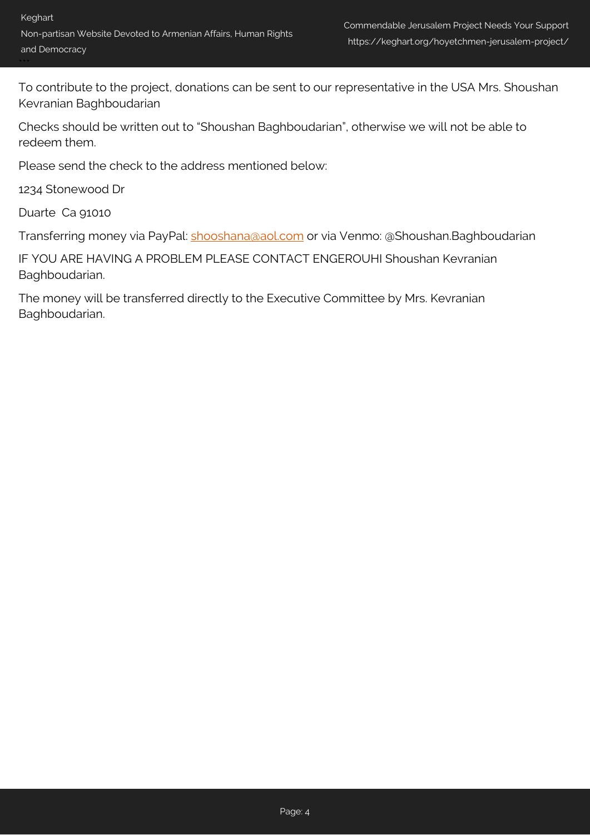To contribute to the project, donations can be sent to our representative in the USA Mrs. Shoushan Kevranian Baghboudarian

Checks should be written out to "Shoushan Baghboudarian", otherwise we will not be able to redeem them.

Please send the check to the address mentioned below:

1234 Stonewood Dr

Duarte Ca 91010

Transferring money via PayPal: [shooshana@aol.com](mailto:shooshana@aol.com) or via Venmo: @Shoushan.Baghboudarian

IF YOU ARE HAVING A PROBLEM PLEASE CONTACT ENGEROUHI Shoushan Kevranian Baghboudarian.

The money will be transferred directly to the Executive Committee by Mrs. Kevranian Baghboudarian.